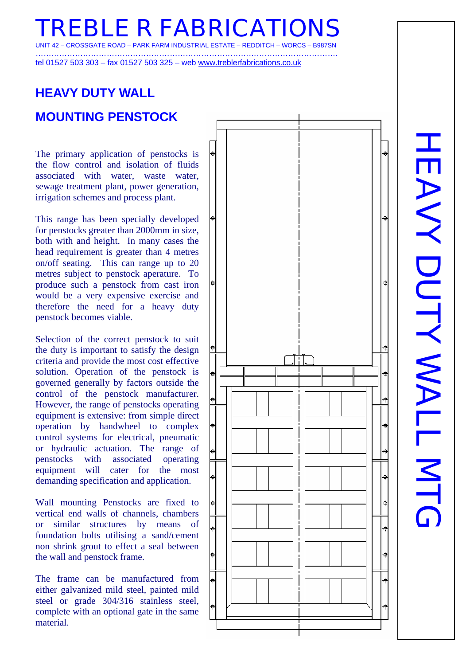**TREBLE R FABRICATIONS**  CROSSGATE ROAD

…………………………………………………………………………………………………….

tel 01527 503 303 – fax 01527 503 325 – web www.treblerfabrications.co.uk

## **HEAVY DUTY WALL MOUNTING PENSTOCK**

The primary application of penstocks is the flow control and isolation of fluids associated with water, waste water, sewage treatment plant, power generation, irrigation schemes and process plant.

This range has been specially developed for penstocks greater than 2000mm in size, both with and height. In many cases the head requirement is greater than 4 metres on/off seating. This can range up to 20 metres subject to penstock aperature. To produce such a penstock from cast iron would be a very expensive exercise and therefore the need for a heavy duty penstock becomes viable.

Selection of the correct penstock to suit the duty is important to satisfy the design criteria and provide the most cost effective solution. Operation of the penstock is governed generally by factors outside the control of the penstock manufacturer. However, the range of penstocks operating equipment is extensive: from simple direct operation by handwheel to complex control systems for electrical, pneumatic or hydraulic actuation. The range of penstocks with associated operating equipment will cater for the most demanding specification and application.

Wall mounting Penstocks are fixed to vertical end walls of channels, chambers or similar structures by means of foundation bolts utilising a sand/cement non shrink grout to effect a seal between the wall and penstock frame.

The frame can be manufactured from either galvanized mild steel, painted mild steel or grade 304/316 stainless steel, complete with an optional gate in the same material.



**HEAVY DUTY WALL MTG** HEAVAINTANALLENTR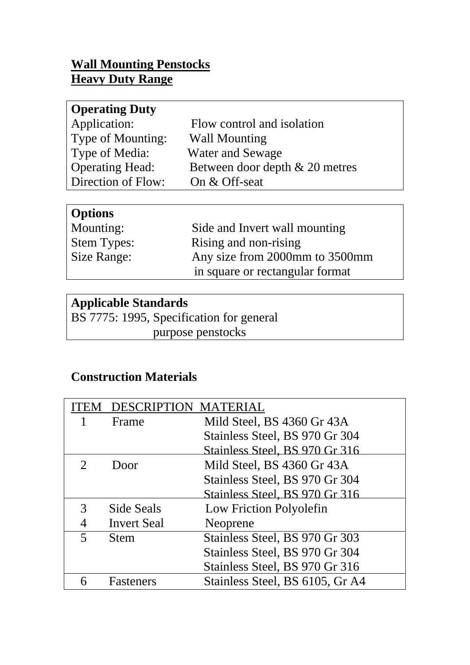#### **Wall Mounting Penstocks Heavy Duty Range**

| <b>Operating Duty</b>  |                                |
|------------------------|--------------------------------|
| Application:           | Flow control and isolation     |
| Type of Mounting:      | <b>Wall Mounting</b>           |
| Type of Media:         | <b>Water and Sewage</b>        |
| <b>Operating Head:</b> | Between door depth & 20 metres |
| Direction of Flow:     | On & Off-seat                  |

### **Options**

| $\sim$ P values $\sim$ |                                 |
|------------------------|---------------------------------|
| Mounting:              | Side and Invert wall mounting   |
| <b>Stem Types:</b>     | Rising and non-rising           |
| Size Range:            | Any size from 2000mm to 3500mm  |
|                        | in square or rectangular format |

## **Applicable Standards**

BS 7775: 1995, Specification for general purpose penstocks

## **Construction Materials**

| EМ | <b>DESCRIPTION MATERIAL</b> |                                 |  |  |  |
|----|-----------------------------|---------------------------------|--|--|--|
|    | Frame                       | Mild Steel, BS 4360 Gr 43A      |  |  |  |
|    |                             | Stainless Steel, BS 970 Gr 304  |  |  |  |
|    |                             | Stainless Steel, BS 970 Gr 316  |  |  |  |
|    | Door                        | Mild Steel, BS 4360 Gr 43A      |  |  |  |
|    |                             | Stainless Steel, BS 970 Gr 304  |  |  |  |
|    |                             | Stainless Steel, BS 970 Gr 316  |  |  |  |
| 3  | Side Seals                  | Low Friction Polyolefin         |  |  |  |
|    | <b>Invert Seal</b>          | Neoprene                        |  |  |  |
|    | <b>Stem</b>                 | Stainless Steel, BS 970 Gr 303  |  |  |  |
|    |                             | Stainless Steel, BS 970 Gr 304  |  |  |  |
|    |                             | Stainless Steel, BS 970 Gr 316  |  |  |  |
| 6  | <b>Fasteners</b>            | Stainless Steel, BS 6105, Gr A4 |  |  |  |
|    |                             |                                 |  |  |  |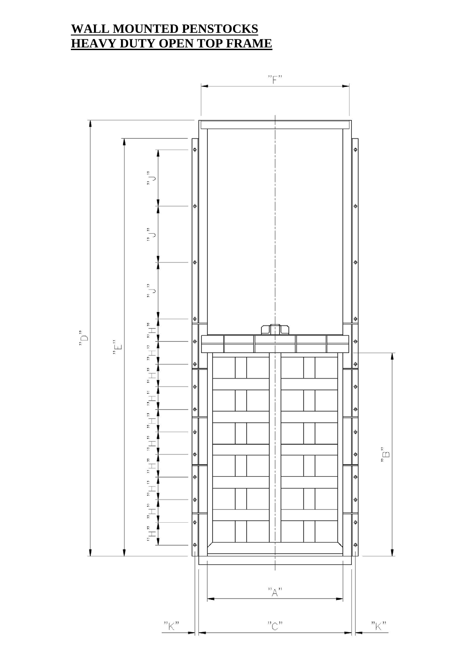#### **WALL MOUNTED PENSTOCKS HEAVY DUTY OPEN TOP FRAME**

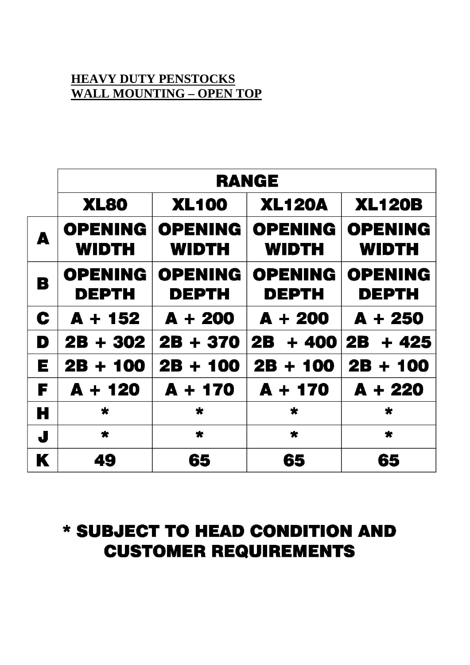#### **HEAVY DUTY PENSTOCKS WALL MOUNTING – OPEN TOP**

|              | <b>RANGE</b>                   |                                |                                |                                |  |  |
|--------------|--------------------------------|--------------------------------|--------------------------------|--------------------------------|--|--|
|              | XL80                           | <b>XL100</b>                   | <b>XL120A</b>                  | <b>XL120B</b>                  |  |  |
| A            | <b>OPENING</b><br><b>WIDTH</b> | <b>OPENING</b><br><b>WIDTH</b> | <b>OPENING</b><br><b>WIDTH</b> | <b>OPENING</b><br><b>WIDTH</b> |  |  |
| B            | <b>OPENING</b><br><b>DEPTH</b> | <b>OPENING</b><br>DEPTH        | <b>OPENING</b><br><b>DEPTH</b> | <b>OPENING</b><br><b>DEPTH</b> |  |  |
| C            | $A + 152$                      | $A + 200$                      | $A + 200$                      | $A + 250$                      |  |  |
| D            | $2B + 302$                     | 2B + 370                       | 2B .<br>+ 400                  | 2B .<br>+ 425                  |  |  |
| E            | 2B + 100                       | 2B + 100                       | $2B + 100$                     | $2B + 100$                     |  |  |
| F            | $A + 120$                      | $A + 170$                      | $A + 170$                      | $A + 220$                      |  |  |
| Н            | $\star$                        | $\star$                        | $\star$                        | $\star$                        |  |  |
| $\mathbf{J}$ | $\star$                        | $\star$                        | $\star$                        | $\star$                        |  |  |
| K            | 49                             | 65                             | 65                             | 65                             |  |  |

## \* SUBJECT TO HEAD CONDITION AND **CUSTOMER REQUIREMENTS**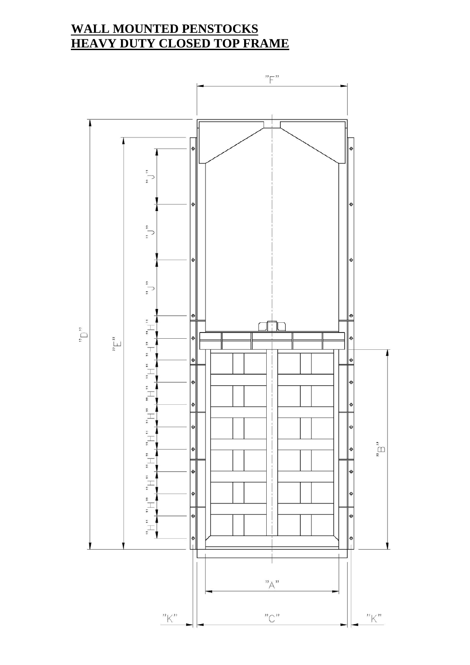#### **WALL MOUNTED PENSTOCKS HEAVY DUTY CLOSED TOP FRAME**

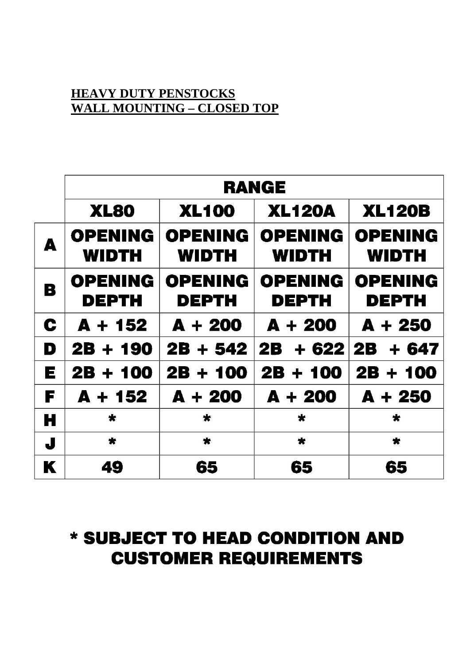#### **HEAVY DUTY PENSTOCKS WALL MOUNTING – CLOSED TOP**

|   | <b>RANGE</b>                                 |                                |                                |                                |  |  |
|---|----------------------------------------------|--------------------------------|--------------------------------|--------------------------------|--|--|
|   | <b>XL100</b><br><b>XL80</b><br><b>XL120A</b> |                                |                                | <b>XL120B</b>                  |  |  |
| Δ | <b>OPENING</b><br><b>WIDTH</b>               | <b>OPENING</b><br><b>WIDTH</b> | <b>OPENING</b><br><b>WIDTH</b> | <b>OPENING</b><br><b>WIDTH</b> |  |  |
| B | <b>OPENING</b><br><b>DEPTH</b>               | <b>OPENING</b><br><b>DEPTH</b> | <b>OPENING</b><br><b>DEPTH</b> | <b>OPENING</b><br><b>DEPTH</b> |  |  |
| C | $A + 152$                                    | $A + 200$                      | $A + 200$                      | $A + 250$                      |  |  |
| D | $2B + 190$                                   | $2B + 542$                     | 2B -<br>$+ 622$                | $2B + 647$                     |  |  |
| E | $2B + 100$                                   | $2B + 100$                     | $2B + 100$                     | $2B + 100$                     |  |  |
| F | $A + 152$                                    | $A + 200$                      | $A + 200$                      | $A + 250$                      |  |  |
| Н | $\star$                                      | $\star$                        | $\star$                        | $\star$                        |  |  |
| J | $\star$                                      | $\star$                        | $\star$                        | $\star$                        |  |  |
| K | 49                                           | 65                             | 65                             | 65                             |  |  |

# \* SUBJECT TO HEAD CONDITION AND **CUSTOMER REQUIREMENTS**